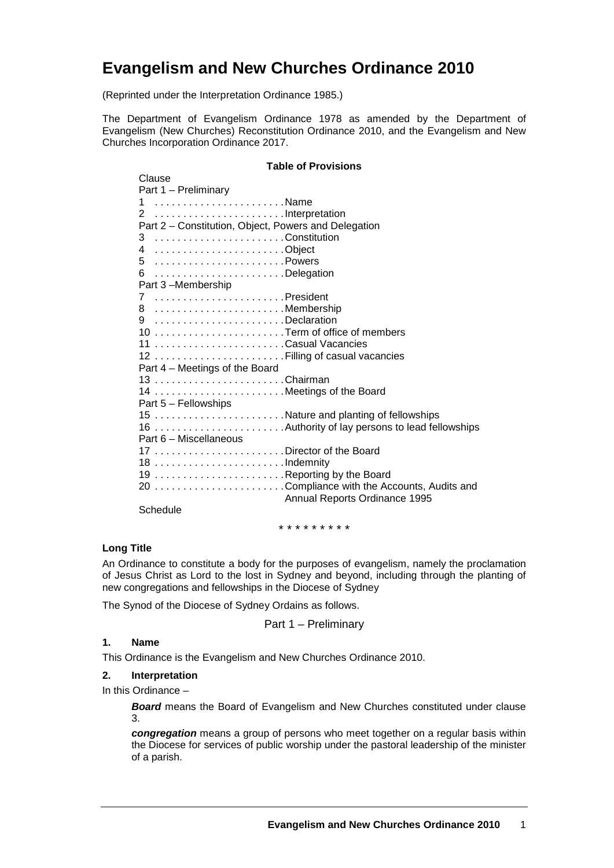# **Evangelism and New Churches Ordinance 2010**

(Reprinted under the Interpretation Ordinance 1985.)

The Department of Evangelism Ordinance 1978 as amended by the Department of Evangelism (New Churches) Reconstitution Ordinance 2010, and the Evangelism and New Churches Incorporation Ordinance 2017.

## **Table of Provisions**

| Clause                                               |  |
|------------------------------------------------------|--|
| Part 1 - Preliminary                                 |  |
| 1 Name                                               |  |
|                                                      |  |
| Part 2 - Constitution, Object, Powers and Delegation |  |
| 3 Constitution                                       |  |
| 4 Object                                             |  |
| 5 Powers                                             |  |
| 6 Delegation                                         |  |
| Part 3-Membership                                    |  |
| 7 President                                          |  |
| 8 Membership                                         |  |
| 9 Declaration                                        |  |
| 10 Term of office of members                         |  |
| 11 Casual Vacancies                                  |  |
|                                                      |  |
| Part 4 - Meetings of the Board                       |  |
|                                                      |  |
|                                                      |  |
| 14 Meetings of the Board                             |  |
| Part 5 - Fellowships                                 |  |
| 15 Nature and planting of fellowships                |  |
|                                                      |  |
| Part 6 - Miscellaneous                               |  |
| 17 Director of the Board                             |  |
|                                                      |  |
| 19 Reporting by the Board                            |  |
| 20 Compliance with the Accounts, Audits and          |  |
| Annual Reports Ordinance 1995                        |  |
| Schedule                                             |  |

\* \* \* \* \* \* \* \* \*

## **Long Title**

An Ordinance to constitute a body for the purposes of evangelism, namely the proclamation of Jesus Christ as Lord to the lost in Sydney and beyond, including through the planting of new congregations and fellowships in the Diocese of Sydney

The Synod of the Diocese of Sydney Ordains as follows.

Part 1 – Preliminary

#### **1. Name**

This Ordinance is the Evangelism and New Churches Ordinance 2010.

#### **2. Interpretation**

In this Ordinance –

**Board** means the Board of Evangelism and New Churches constituted under clause 3.

*congregation* means a group of persons who meet together on a regular basis within the Diocese for services of public worship under the pastoral leadership of the minister of a parish.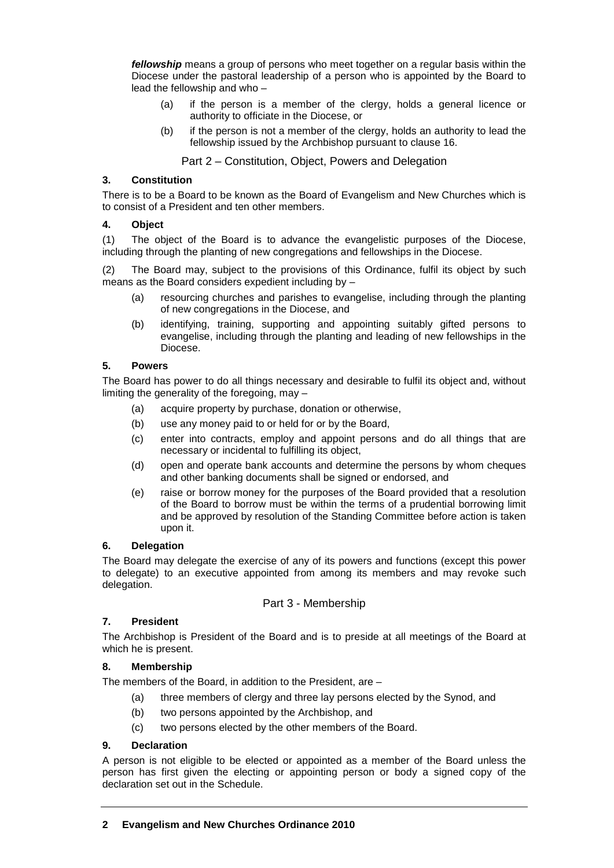*fellowship* means a group of persons who meet together on a regular basis within the Diocese under the pastoral leadership of a person who is appointed by the Board to lead the fellowship and who –

- (a) if the person is a member of the clergy, holds a general licence or authority to officiate in the Diocese, or
- (b) if the person is not a member of the clergy, holds an authority to lead the fellowship issued by the Archbishop pursuant to clause 16.

Part 2 – Constitution, Object, Powers and Delegation

## **3. Constitution**

There is to be a Board to be known as the Board of Evangelism and New Churches which is to consist of a President and ten other members.

## **4. Object**

(1) The object of the Board is to advance the evangelistic purposes of the Diocese, including through the planting of new congregations and fellowships in the Diocese.

(2) The Board may, subject to the provisions of this Ordinance, fulfil its object by such means as the Board considers expedient including by –

- (a) resourcing churches and parishes to evangelise, including through the planting of new congregations in the Diocese, and
- (b) identifying, training, supporting and appointing suitably gifted persons to evangelise, including through the planting and leading of new fellowships in the Diocese.

## **5. Powers**

The Board has power to do all things necessary and desirable to fulfil its object and, without limiting the generality of the foregoing, may –

- (a) acquire property by purchase, donation or otherwise,
- (b) use any money paid to or held for or by the Board,
- (c) enter into contracts, employ and appoint persons and do all things that are necessary or incidental to fulfilling its object,
- (d) open and operate bank accounts and determine the persons by whom cheques and other banking documents shall be signed or endorsed, and
- (e) raise or borrow money for the purposes of the Board provided that a resolution of the Board to borrow must be within the terms of a prudential borrowing limit and be approved by resolution of the Standing Committee before action is taken upon it.

## **6. Delegation**

The Board may delegate the exercise of any of its powers and functions (except this power to delegate) to an executive appointed from among its members and may revoke such delegation.

## Part 3 - Membership

## **7. President**

The Archbishop is President of the Board and is to preside at all meetings of the Board at which he is present.

## **8. Membership**

The members of the Board, in addition to the President, are –

- (a) three members of clergy and three lay persons elected by the Synod, and
- (b) two persons appointed by the Archbishop, and
- (c) two persons elected by the other members of the Board.

## **9. Declaration**

A person is not eligible to be elected or appointed as a member of the Board unless the person has first given the electing or appointing person or body a signed copy of the declaration set out in the Schedule.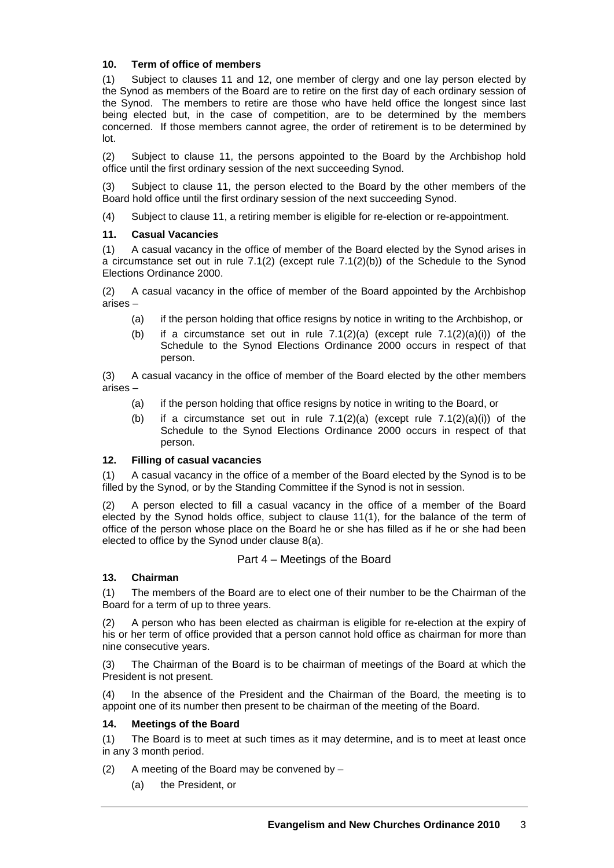## **10. Term of office of members**

(1) Subject to clauses 11 and 12, one member of clergy and one lay person elected by the Synod as members of the Board are to retire on the first day of each ordinary session of the Synod. The members to retire are those who have held office the longest since last being elected but, in the case of competition, are to be determined by the members concerned. If those members cannot agree, the order of retirement is to be determined by lot.

(2) Subject to clause 11, the persons appointed to the Board by the Archbishop hold office until the first ordinary session of the next succeeding Synod.

(3) Subject to clause 11, the person elected to the Board by the other members of the Board hold office until the first ordinary session of the next succeeding Synod.

(4) Subject to clause 11, a retiring member is eligible for re-election or re-appointment.

## **11. Casual Vacancies**

(1) A casual vacancy in the office of member of the Board elected by the Synod arises in a circumstance set out in rule 7.1(2) (except rule 7.1(2)(b)) of the Schedule to the Synod Elections Ordinance 2000.

(2) A casual vacancy in the office of member of the Board appointed by the Archbishop arises –

- (a) if the person holding that office resigns by notice in writing to the Archbishop, or
- (b) if a circumstance set out in rule  $7.1(2)(a)$  (except rule  $7.1(2)(a)(i)$ ) of the Schedule to the Synod Elections Ordinance 2000 occurs in respect of that person.

(3) A casual vacancy in the office of member of the Board elected by the other members arises –

- (a) if the person holding that office resigns by notice in writing to the Board, or
- (b) if a circumstance set out in rule  $7.1(2)(a)$  (except rule  $7.1(2)(a)(i)$ ) of the Schedule to the Synod Elections Ordinance 2000 occurs in respect of that person.

## **12. Filling of casual vacancies**

(1) A casual vacancy in the office of a member of the Board elected by the Synod is to be filled by the Synod, or by the Standing Committee if the Synod is not in session.

(2) A person elected to fill a casual vacancy in the office of a member of the Board elected by the Synod holds office, subject to clause 11(1), for the balance of the term of office of the person whose place on the Board he or she has filled as if he or she had been elected to office by the Synod under clause 8(a).

## Part 4 – Meetings of the Board

## **13. Chairman**

(1) The members of the Board are to elect one of their number to be the Chairman of the Board for a term of up to three years.

(2) A person who has been elected as chairman is eligible for re-election at the expiry of his or her term of office provided that a person cannot hold office as chairman for more than nine consecutive years.

(3) The Chairman of the Board is to be chairman of meetings of the Board at which the President is not present.

(4) In the absence of the President and the Chairman of the Board, the meeting is to appoint one of its number then present to be chairman of the meeting of the Board.

## **14. Meetings of the Board**

(1) The Board is to meet at such times as it may determine, and is to meet at least once in any 3 month period.

(2) A meeting of the Board may be convened by  $-$ 

(a) the President, or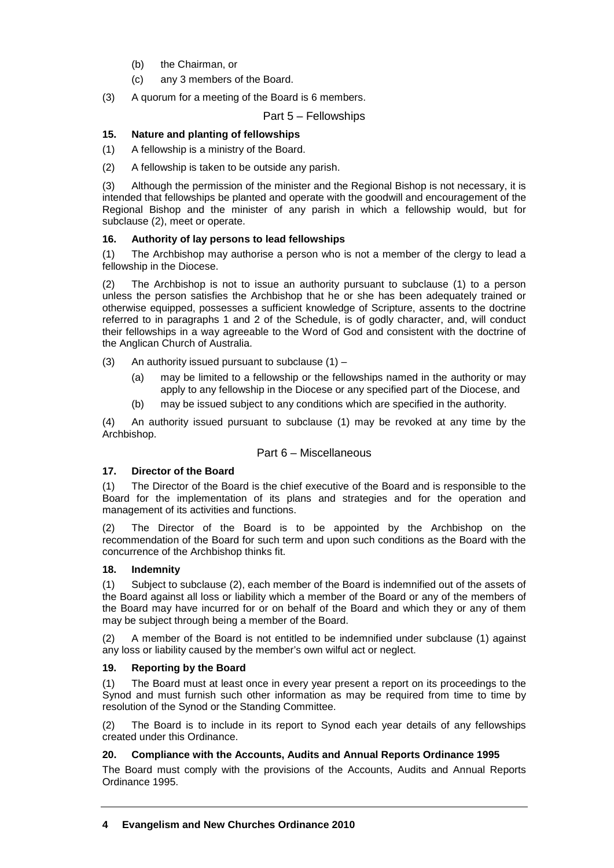- (b) the Chairman, or
- (c) any 3 members of the Board.

(3) A quorum for a meeting of the Board is 6 members.

Part 5 – Fellowships

#### **15. Nature and planting of fellowships**

(1) A fellowship is a ministry of the Board.

(2) A fellowship is taken to be outside any parish.

(3) Although the permission of the minister and the Regional Bishop is not necessary, it is intended that fellowships be planted and operate with the goodwill and encouragement of the Regional Bishop and the minister of any parish in which a fellowship would, but for subclause (2), meet or operate.

#### **16. Authority of lay persons to lead fellowships**

(1) The Archbishop may authorise a person who is not a member of the clergy to lead a fellowship in the Diocese.

(2) The Archbishop is not to issue an authority pursuant to subclause (1) to a person unless the person satisfies the Archbishop that he or she has been adequately trained or otherwise equipped, possesses a sufficient knowledge of Scripture, assents to the doctrine referred to in paragraphs 1 and 2 of the Schedule, is of godly character, and, will conduct their fellowships in a way agreeable to the Word of God and consistent with the doctrine of the Anglican Church of Australia.

(3) An authority issued pursuant to subclause  $(1)$  –

- (a) may be limited to a fellowship or the fellowships named in the authority or may apply to any fellowship in the Diocese or any specified part of the Diocese, and
- (b) may be issued subject to any conditions which are specified in the authority.

(4) An authority issued pursuant to subclause (1) may be revoked at any time by the Archbishop.

#### Part 6 – Miscellaneous

#### **17. Director of the Board**

(1) The Director of the Board is the chief executive of the Board and is responsible to the Board for the implementation of its plans and strategies and for the operation and management of its activities and functions.

(2) The Director of the Board is to be appointed by the Archbishop on the recommendation of the Board for such term and upon such conditions as the Board with the concurrence of the Archbishop thinks fit.

#### **18. Indemnity**

(1) Subject to subclause (2), each member of the Board is indemnified out of the assets of the Board against all loss or liability which a member of the Board or any of the members of the Board may have incurred for or on behalf of the Board and which they or any of them may be subject through being a member of the Board.

(2) A member of the Board is not entitled to be indemnified under subclause (1) against any loss or liability caused by the member's own wilful act or neglect.

## **19. Reporting by the Board**

(1) The Board must at least once in every year present a report on its proceedings to the Synod and must furnish such other information as may be required from time to time by resolution of the Synod or the Standing Committee.

(2) The Board is to include in its report to Synod each year details of any fellowships created under this Ordinance.

## **20. Compliance with the Accounts, Audits and Annual Reports Ordinance 1995**

The Board must comply with the provisions of the Accounts, Audits and Annual Reports Ordinance 1995.